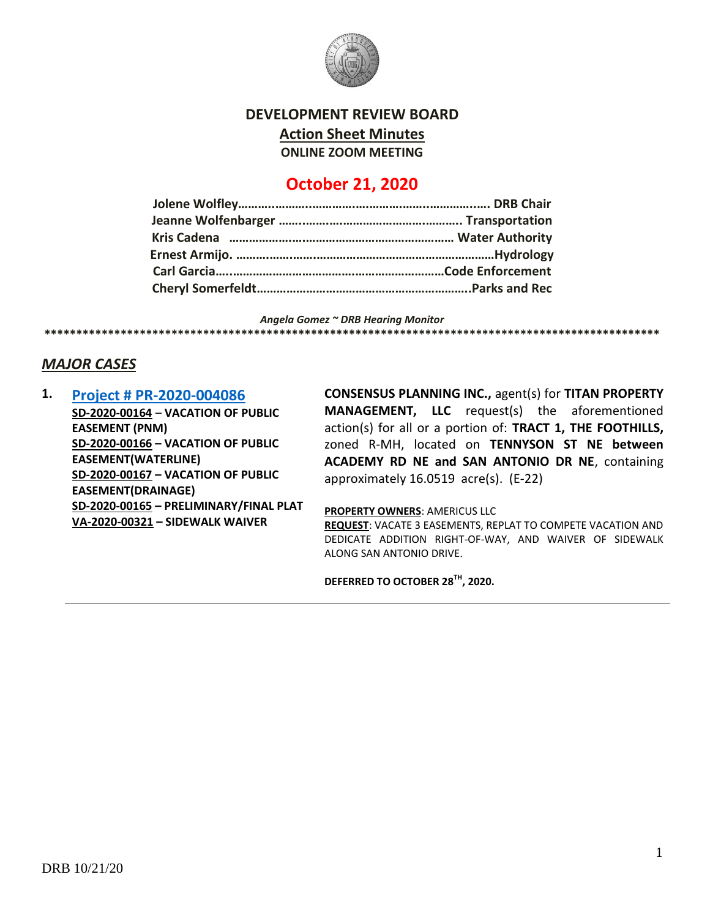

**DEVELOPMENT REVIEW BOARD**

**Action Sheet Minutes**

**ONLINE ZOOM MEETING**

# **October 21, 2020**

*Angela Gomez ~ DRB Hearing Monitor* **\*\*\*\*\*\*\*\*\*\*\*\*\*\*\*\*\*\*\*\*\*\*\*\*\*\*\*\*\*\*\*\*\*\*\*\*\*\*\*\*\*\*\*\*\*\*\*\*\*\*\*\*\*\*\*\*\*\*\*\*\*\*\*\*\*\*\*\*\*\*\*\*\*\*\*\*\*\*\*\*\*\*\*\*\*\*\*\*\*\*\*\*\*\*\*\*\***

## *MAJOR CASES*

**1. [Project # PR-2020-004086](http://data.cabq.gov/government/planning/DRB/PR-2020-004086/DRB%20Submittals/PR-2020-004086_Oct_21_2020/Application/) SD-2020-00164** – **VACATION OF PUBLIC EASEMENT (PNM) SD-2020-00166 – VACATION OF PUBLIC EASEMENT(WATERLINE) SD-2020-00167 – VACATION OF PUBLIC EASEMENT(DRAINAGE) SD-2020-00165 – PRELIMINARY/FINAL PLAT VA-2020-00321 – SIDEWALK WAIVER**

**CONSENSUS PLANNING INC.,** agent(s) for **TITAN PROPERTY MANAGEMENT, LLC** request(s) the aforementioned action(s) for all or a portion of: **TRACT 1, THE FOOTHILLS,** zoned R-MH, located on **TENNYSON ST NE between ACADEMY RD NE and SAN ANTONIO DR NE**, containing approximately 16.0519 acre(s). (E-22)

#### **PROPERTY OWNERS**: AMERICUS LLC

**REQUEST**: VACATE 3 EASEMENTS, REPLAT TO COMPETE VACATION AND DEDICATE ADDITION RIGHT-OF-WAY, AND WAIVER OF SIDEWALK ALONG SAN ANTONIO DRIVE.

**DEFERRED TO OCTOBER 28TH, 2020.**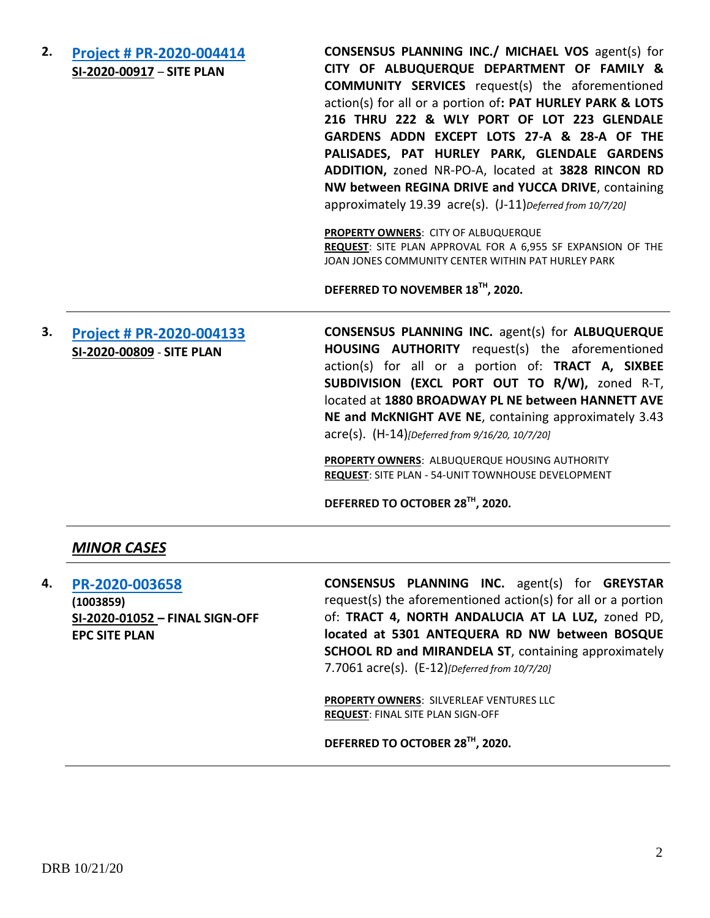**2. [Project # PR-2020-004414](http://data.cabq.gov/government/planning/DRB/PR-2020-004414/DRB%20Submittals/PR-2020-004414_Oct_07_2020/Application/) SI-2020-00917** – **SITE PLAN**

**CONSENSUS PLANNING INC./ MICHAEL VOS** agent(s) for **CITY OF ALBUQUERQUE DEPARTMENT OF FAMILY & COMMUNITY SERVICES** request(s) the aforementioned action(s) for all or a portion of**: PAT HURLEY PARK & LOTS 216 THRU 222 & WLY PORT OF LOT 223 GLENDALE GARDENS ADDN EXCEPT LOTS 27-A & 28-A OF THE PALISADES, PAT HURLEY PARK, GLENDALE GARDENS ADDITION,** zoned NR-PO-A, located at **3828 RINCON RD NW between REGINA DRIVE and YUCCA DRIVE**, containing approximately 19.39 acre(s). (J-11)*Deferred from 10/7/20]*

**PROPERTY OWNERS**: CITY OF ALBUQUERQUE **REQUEST**: SITE PLAN APPROVAL FOR A 6,955 SF EXPANSION OF THE JOAN JONES COMMUNITY CENTER WITHIN PAT HURLEY PARK

**DEFERRED TO NOVEMBER 18TH, 2020.**

# **3. [Project # PR-2020-004133](http://data.cabq.gov/government/planning/DRB/PR-2020-004133/DRB%20Submittals/PR-2020-004133_Sept_16_2020/Application/AHA%201880%20Broadway%20Site%20Plan%20DRB%20Application.pdf) SI-2020-00809** - **SITE PLAN**

**CONSENSUS PLANNING INC.** agent(s) for **ALBUQUERQUE HOUSING AUTHORITY** request(s) the aforementioned action(s) for all or a portion of: **TRACT A, SIXBEE SUBDIVISION (EXCL PORT OUT TO R/W),** zoned R-T, located at **1880 BROADWAY PL NE between HANNETT AVE NE and McKNIGHT AVE NE**, containing approximately 3.43 acre(s). (H-14)*[Deferred from 9/16/20, 10/7/20]*

**PROPERTY OWNERS**: ALBUQUERQUE HOUSING AUTHORITY **REQUEST**: SITE PLAN - 54-UNIT TOWNHOUSE DEVELOPMENT

**DEFERRED TO OCTOBER 28TH, 2020.**

#### *MINOR CASES*

**4. [PR-2020-003658](http://data.cabq.gov/government/planning/DRB/PR-2020-003658/DRB%20Submittals/PR-2020-003658_Oct_7_2020/Application/) (1003859) SI-2020-01052 – FINAL SIGN-OFF EPC SITE PLAN**

**CONSENSUS PLANNING INC.** agent(s) for **GREYSTAR** request(s) the aforementioned action(s) for all or a portion of: **TRACT 4, NORTH ANDALUCIA AT LA LUZ,** zoned PD, **located at 5301 ANTEQUERA RD NW between BOSQUE SCHOOL RD and MIRANDELA ST, containing approximately** 7.7061 acre(s). (E-12)*[Deferred from 10/7/20]*

**PROPERTY OWNERS**: SILVERLEAF VENTURES LLC **REQUEST**: FINAL SITE PLAN SIGN-OFF

**DEFERRED TO OCTOBER 28TH, 2020.**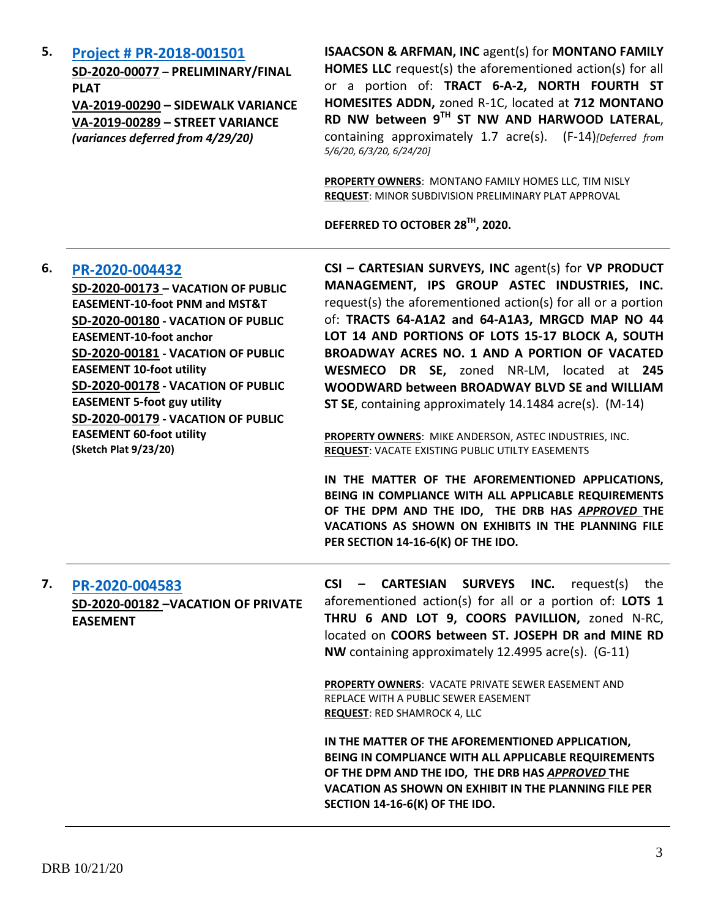**5. [Project # PR-2018-001501](http://data.cabq.gov/government/planning/DRB/PR-2018-001501/DRB%20Submittals/PR-2018-001501_(North%20Fourth%20St.%20Homesites%20Addn)_Mar_11_2020_Supp/Application/PR-2018-001501%20SUPPLEMENTAL%20SUBMITTAL.pdf)**

**SD-2020-00077** – **PRELIMINARY/FINAL PLAT VA-2019-00290 – SIDEWALK VARIANCE VA-2019-00289 – STREET VARIANCE**  *(variances deferred from 4/29/20)*

**ISAACSON & ARFMAN, INC** agent(s) for **MONTANO FAMILY HOMES LLC** request(s) the aforementioned action(s) for all or a portion of: **TRACT 6-A-2, NORTH FOURTH ST HOMESITES ADDN,** zoned R-1C, located at **712 MONTANO RD NW between 9TH ST NW AND HARWOOD LATERAL**, containing approximately 1.7 acre(s). (F-14)*[Deferred from 5/6/20, 6/3/20, 6/24/20]*

**PROPERTY OWNERS**: MONTANO FAMILY HOMES LLC, TIM NISLY **REQUEST**: MINOR SUBDIVISION PRELIMINARY PLAT APPROVAL

**DEFERRED TO OCTOBER 28TH, 2020.**

| 6. | PR-2020-004432<br>SD-2020-00173 - VACATION OF PUBLIC<br><b>EASEMENT-10-foot PNM and MST&amp;T</b><br>SD-2020-00180 - VACATION OF PUBLIC<br><b>EASEMENT-10-foot anchor</b><br>SD-2020-00181 - VACATION OF PUBLIC<br><b>EASEMENT 10-foot utility</b><br>SD-2020-00178 - VACATION OF PUBLIC<br><b>EASEMENT 5-foot guy utility</b><br>SD-2020-00179 - VACATION OF PUBLIC<br><b>EASEMENT 60-foot utility</b><br>(Sketch Plat 9/23/20) | CSI - CARTESIAN SURVEYS, INC agent(s) for VP PRODUCT<br>MANAGEMENT, IPS GROUP ASTEC INDUSTRIES, INC.<br>request(s) the aforementioned action(s) for all or a portion<br>of: TRACTS 64-A1A2 and 64-A1A3, MRGCD MAP NO 44<br>LOT 14 AND PORTIONS OF LOTS 15-17 BLOCK A, SOUTH<br>BROADWAY ACRES NO. 1 AND A PORTION OF VACATED<br>WESMECO DR SE, zoned NR-LM, located at 245<br>WOODWARD between BROADWAY BLVD SE and WILLIAM<br>ST SE, containing approximately 14.1484 acre(s). (M-14)<br>PROPERTY OWNERS: MIKE ANDERSON, ASTEC INDUSTRIES, INC.<br>REQUEST: VACATE EXISTING PUBLIC UTILTY EASEMENTS<br>IN THE MATTER OF THE AFOREMENTIONED APPLICATIONS,<br>BEING IN COMPLIANCE WITH ALL APPLICABLE REQUIREMENTS<br>OF THE DPM AND THE IDO, THE DRB HAS APPROVED THE |
|----|----------------------------------------------------------------------------------------------------------------------------------------------------------------------------------------------------------------------------------------------------------------------------------------------------------------------------------------------------------------------------------------------------------------------------------|-----------------------------------------------------------------------------------------------------------------------------------------------------------------------------------------------------------------------------------------------------------------------------------------------------------------------------------------------------------------------------------------------------------------------------------------------------------------------------------------------------------------------------------------------------------------------------------------------------------------------------------------------------------------------------------------------------------------------------------------------------------------------|
|    |                                                                                                                                                                                                                                                                                                                                                                                                                                  | VACATIONS AS SHOWN ON EXHIBITS IN THE PLANNING FILE<br>PER SECTION 14-16-6(K) OF THE IDO.                                                                                                                                                                                                                                                                                                                                                                                                                                                                                                                                                                                                                                                                             |
| 7. | PR-2020-004583<br>SD-2020-00182 - VACATION OF PRIVATE<br><b>EASEMENT</b>                                                                                                                                                                                                                                                                                                                                                         | SURVEYS INC.<br>$CSI -$<br><b>CARTESIAN</b><br>request(s)<br>the<br>aforementioned action(s) for all or a portion of: LOTS 1<br>THRU 6 AND LOT 9, COORS PAVILLION, zoned N-RC,<br>located on COORS between ST. JOSEPH DR and MINE RD<br>NW containing approximately 12.4995 acre(s). (G-11)                                                                                                                                                                                                                                                                                                                                                                                                                                                                           |
|    |                                                                                                                                                                                                                                                                                                                                                                                                                                  | <b>PROPERTY OWNERS: VACATE PRIVATE SEWER EASEMENT AND</b><br>REPLACE WITH A PUBLIC SEWER EASEMENT<br><b>REQUEST: RED SHAMROCK 4, LLC</b>                                                                                                                                                                                                                                                                                                                                                                                                                                                                                                                                                                                                                              |
|    |                                                                                                                                                                                                                                                                                                                                                                                                                                  | IN THE MATTER OF THE AFOREMENTIONED APPLICATION,<br>BEING IN COMPLIANCE WITH ALL APPLICABLE REQUIREMENTS<br>OF THE DPM AND THE IDO, THE DRB HAS APPROVED THE<br><b>VACATION AS SHOWN ON EXHIBIT IN THE PLANNING FILE PER</b><br>SECTION 14-16-6(K) OF THE IDO.                                                                                                                                                                                                                                                                                                                                                                                                                                                                                                        |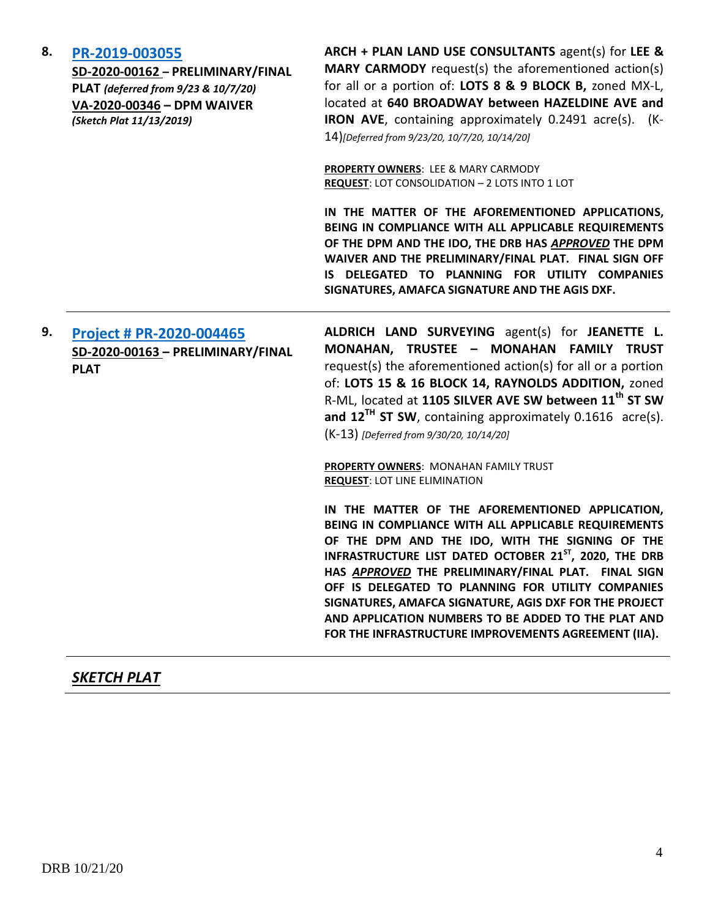#### **8. [PR-2019-003055](http://data.cabq.gov/government/planning/DRB/PR-2019-003055/DRB%20Submittals/PR-2019-003055_Oct_14_2020/DRB%20V-DRB%20Arch%20&%20Plan%20PR-2019-003055%20VA=2020-00346%20signed%20copy.pdf)**

**SD-2020-00162 – PRELIMINARY/FINAL PLAT** *(deferred from 9/23 & 10/7/20)* **VA-2020-00346 – DPM WAIVER** *(Sketch Plat 11/13/2019)*

**ARCH + PLAN LAND USE CONSULTANTS** agent(s) for **LEE & MARY CARMODY** request(s) the aforementioned action(s) for all or a portion of: **LOTS 8 & 9 BLOCK B,** zoned MX-L, located at **640 BROADWAY between HAZELDINE AVE and IRON AVE**, containing approximately 0.2491 acre(s). (K-14)*[Deferred from 9/23/20, 10/7/20, 10/14/20]*

**PROPERTY OWNERS**: LEE & MARY CARMODY **REQUEST**: LOT CONSOLIDATION – 2 LOTS INTO 1 LOT

**IN THE MATTER OF THE AFOREMENTIONED APPLICATIONS, BEING IN COMPLIANCE WITH ALL APPLICABLE REQUIREMENTS OF THE DPM AND THE IDO, THE DRB HAS** *APPROVED* **THE DPM WAIVER AND THE PRELIMINARY/FINAL PLAT. FINAL SIGN OFF IS DELEGATED TO PLANNING FOR UTILITY COMPANIES SIGNATURES, AMAFCA SIGNATURE AND THE AGIS DXF.**

**9. [Project # PR-2020-004465](http://data.cabq.gov/government/planning/DRB/PR-2020-004465/DRB%20Submittals/PR-2020-004465_Sept_30_2020/Application/DRB_application%20-%20Lot%2015-A%20Block%2014%20Raynolds%20Addition.pdf) SD-2020-00163 – PRELIMINARY/FINAL PLAT**

**ALDRICH LAND SURVEYING** agent(s) for **JEANETTE L. MONAHAN, TRUSTEE – MONAHAN FAMILY TRUST**  request(s) the aforementioned action(s) for all or a portion of: **LOTS 15 & 16 BLOCK 14, RAYNOLDS ADDITION,** zoned R-ML, located at **1105 SILVER AVE SW between 11th ST SW and 12TH ST SW**, containing approximately 0.1616 acre(s). (K-13) *[Deferred from 9/30/20, 10/14/20]*

**PROPERTY OWNERS**: MONAHAN FAMILY TRUST **REQUEST**: LOT LINE ELIMINATION

**IN THE MATTER OF THE AFOREMENTIONED APPLICATION, BEING IN COMPLIANCE WITH ALL APPLICABLE REQUIREMENTS OF THE DPM AND THE IDO, WITH THE SIGNING OF THE INFRASTRUCTURE LIST DATED OCTOBER 21ST, 2020, THE DRB HAS** *APPROVED* **THE PRELIMINARY/FINAL PLAT. FINAL SIGN OFF IS DELEGATED TO PLANNING FOR UTILITY COMPANIES SIGNATURES, AMAFCA SIGNATURE, AGIS DXF FOR THE PROJECT AND APPLICATION NUMBERS TO BE ADDED TO THE PLAT AND FOR THE INFRASTRUCTURE IMPROVEMENTS AGREEMENT (IIA).**

### *SKETCH PLAT*